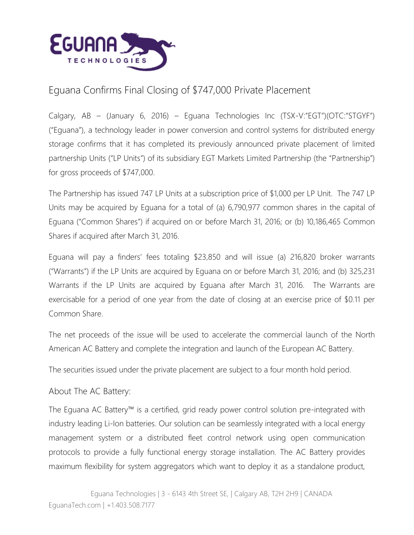

## Eguana Confirms Final Closing of \$747,000 Private Placement

Calgary, AB – (January 6, 2016) – Eguana Technologies Inc (TSX-V:"EGT")(OTC:"STGYF") ("Eguana"), a technology leader in power conversion and control systems for distributed energy storage confirms that it has completed its previously announced private placement of limited partnership Units ("LP Units") of its subsidiary EGT Markets Limited Partnership (the "Partnership") for gross proceeds of \$747,000.

The Partnership has issued 747 LP Units at a subscription price of \$1,000 per LP Unit. The 747 LP Units may be acquired by Eguana for a total of (a) 6,790,977 common shares in the capital of Eguana ("Common Shares") if acquired on or before March 31, 2016; or (b) 10,186,465 Common Shares if acquired after March 31, 2016.

Eguana will pay a finders' fees totaling \$23,850 and will issue (a) 216,820 broker warrants ("Warrants") if the LP Units are acquired by Eguana on or before March 31, 2016; and (b) 325,231 Warrants if the LP Units are acquired by Eguana after March 31, 2016. The Warrants are exercisable for a period of one year from the date of closing at an exercise price of \$0.11 per Common Share.

The net proceeds of the issue will be used to accelerate the commercial launch of the North American AC Battery and complete the integration and launch of the European AC Battery.

The securities issued under the private placement are subject to a four month hold period.

About The AC Battery:

The Eguana AC Battery™ is a certified, grid ready power control solution pre-integrated with industry leading Li-Ion batteries. Our solution can be seamlessly integrated with a local energy management system or a distributed fleet control network using open communication protocols to provide a fully functional energy storage installation. The AC Battery provides maximum flexibility for system aggregators which want to deploy it as a standalone product,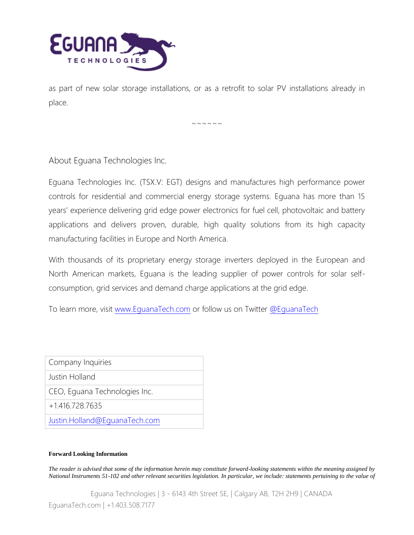

as part of new solar storage installations, or as a retrofit to solar PV installations already in place.

 $\sim$   $\sim$   $\sim$   $\sim$   $\sim$   $\sim$ 

About Eguana Technologies Inc.

Eguana Technologies Inc. (TSX.V: EGT) designs and manufactures high performance power controls for residential and commercial energy storage systems. Eguana has more than 15 years' experience delivering grid edge power electronics for fuel cell, photovoltaic and battery applications and delivers proven, durable, high quality solutions from its high capacity manufacturing facilities in Europe and North America.

With thousands of its proprietary energy storage inverters deployed in the European and North American markets, Eguana is the leading supplier of power controls for solar selfconsumption, grid services and demand charge applications at the grid edge.

To learn more, visit [www.EguanaTech.com](http://www.eguanatech.com/) or follow us on Twitter [@EguanaTech](https://twitter.com/EguanaTech)

Company Inquiries

Justin Holland

CEO, Eguana Technologies Inc.

+1.416.728.7635

[Justin.Holland@EguanaTech.com](mailto:Justin.Holland@EguanaTech.com)

## **Forward Looking Information**

*The reader is advised that some of the information herein may constitute forward-looking statements within the meaning assigned by National Instruments 51-102 and other relevant securities legislation. In particular, we include: statements pertaining to the value of* 

Eguana Technologies | 3 - 6143 4th Street SE, | Calgary AB, T2H 2H9 | CANADA EguanaTech.com | +1.403.508.7177